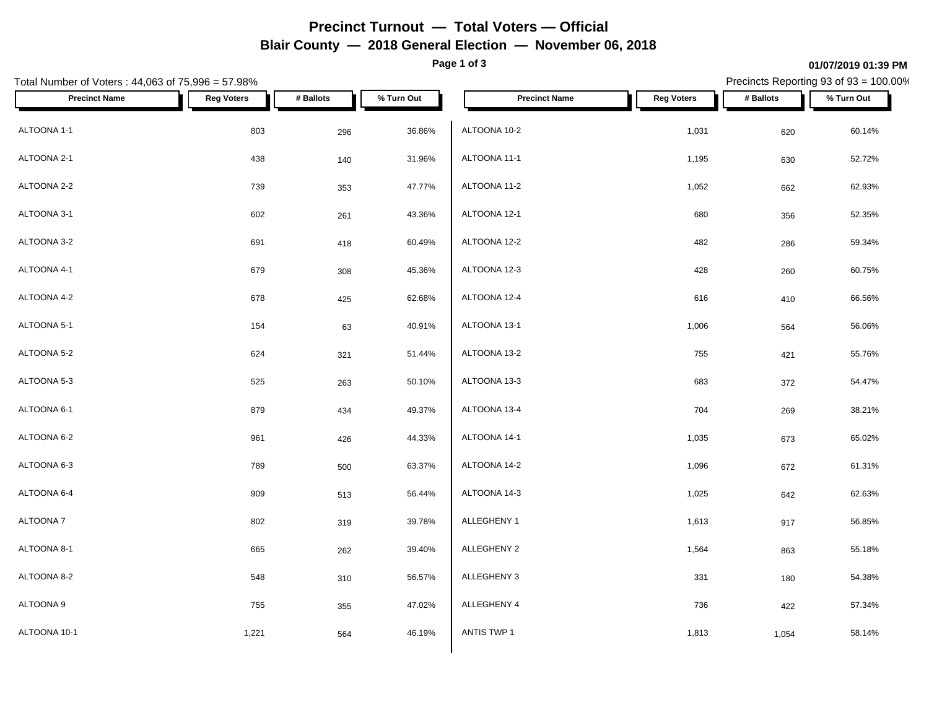# **Precinct Turnout — Total Voters — Official Blair County — 2018 General Election — November 06, 2018**

**Page 1 of 3**

#### **01/07/2019 01:39 PM**

Precincts Reporting 93 of 93 = 100.00%

| Total Number of Voters: 44,063 of 75,996 = 57.98% |                   |           | Precincts Reporting 93 of 93 = 100.00% |                      |                   |           |            |
|---------------------------------------------------|-------------------|-----------|----------------------------------------|----------------------|-------------------|-----------|------------|
| <b>Precinct Name</b>                              | <b>Reg Voters</b> | # Ballots | % Turn Out                             | <b>Precinct Name</b> | <b>Reg Voters</b> | # Ballots | % Turn Out |
| ALTOONA 1-1                                       | 803               | 296       | 36.86%                                 | ALTOONA 10-2         | 1,031             | 620       | 60.14%     |
| ALTOONA 2-1                                       | 438               | 140       | 31.96%                                 | ALTOONA 11-1         | 1,195             | 630       | 52.72%     |
| ALTOONA 2-2                                       | 739               | 353       | 47.77%                                 | ALTOONA 11-2         | 1,052             | 662       | 62.93%     |
| ALTOONA 3-1                                       | 602               | 261       | 43.36%                                 | ALTOONA 12-1         | 680               | 356       | 52.35%     |
| ALTOONA 3-2                                       | 691               | 418       | 60.49%                                 | ALTOONA 12-2         | 482               | 286       | 59.34%     |
| ALTOONA 4-1                                       | 679               | 308       | 45.36%                                 | ALTOONA 12-3         | 428               | 260       | 60.75%     |
| ALTOONA 4-2                                       | 678               | 425       | 62.68%                                 | ALTOONA 12-4         | 616               | 410       | 66.56%     |
| ALTOONA 5-1                                       | 154               | 63        | 40.91%                                 | ALTOONA 13-1         | 1,006             | 564       | 56.06%     |
| ALTOONA 5-2                                       | 624               | 321       | 51.44%                                 | ALTOONA 13-2         | 755               | 421       | 55.76%     |
| ALTOONA 5-3                                       | 525               | 263       | 50.10%                                 | ALTOONA 13-3         | 683               | 372       | 54.47%     |
| ALTOONA 6-1                                       | 879               | 434       | 49.37%                                 | ALTOONA 13-4         | 704               | 269       | 38.21%     |
| ALTOONA 6-2                                       | 961               | 426       | 44.33%                                 | ALTOONA 14-1         | 1,035             | 673       | 65.02%     |
| ALTOONA 6-3                                       | 789               | 500       | 63.37%                                 | ALTOONA 14-2         | 1,096             | 672       | 61.31%     |
| ALTOONA 6-4                                       | 909               | 513       | 56.44%                                 | ALTOONA 14-3         | 1,025             | 642       | 62.63%     |
| ALTOONA 7                                         | 802               | 319       | 39.78%                                 | ALLEGHENY 1          | 1,613             | 917       | 56.85%     |
| ALTOONA 8-1                                       | 665               | 262       | 39.40%                                 | ALLEGHENY 2          | 1,564             | 863       | 55.18%     |
| ALTOONA 8-2                                       | 548               | 310       | 56.57%                                 | ALLEGHENY 3          | 331               | 180       | 54.38%     |
| ALTOONA 9                                         | 755               | 355       | 47.02%                                 | ALLEGHENY 4          | 736               | 422       | 57.34%     |
| ALTOONA 10-1                                      | 1,221             | 564       | 46.19%                                 | ANTIS TWP 1          | 1,813             | 1,054     | 58.14%     |
|                                                   |                   |           |                                        |                      |                   |           |            |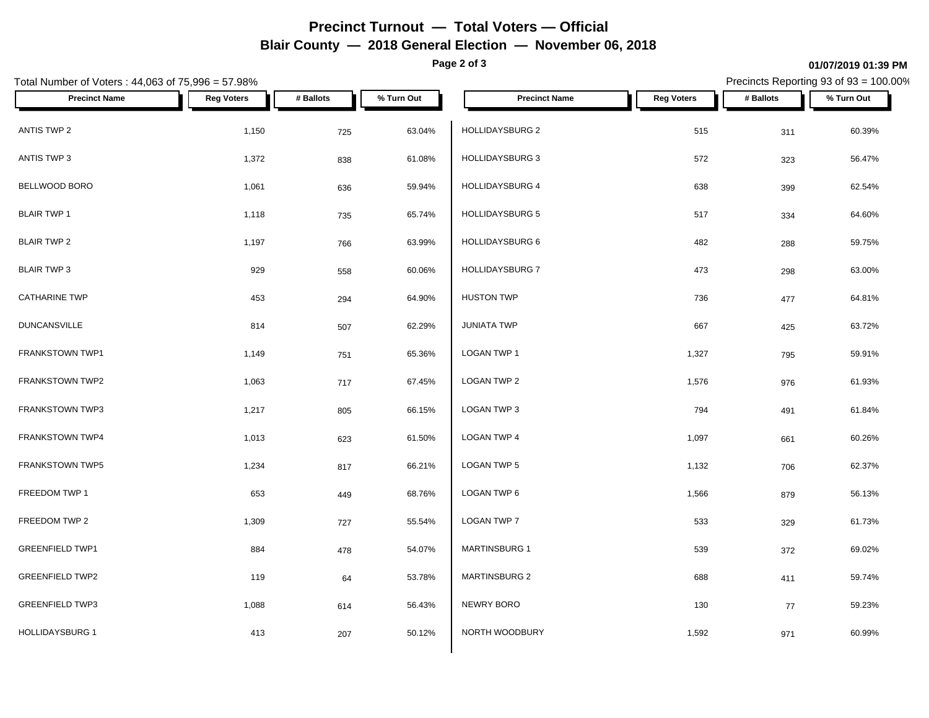# **Precinct Turnout — Total Voters — Official Blair County — 2018 General Election — November 06, 2018**

**Page 2 of 3**

#### **01/07/2019 01:39 PM**

Precincts Reporting 93 of 93 = 100.00%

| Total Number of Voters: 44,063 of 75,996 = 57.98% |                   |           | Precincts Reporting 93 of 93 = 100.00% |                        |                   |           |            |
|---------------------------------------------------|-------------------|-----------|----------------------------------------|------------------------|-------------------|-----------|------------|
| <b>Precinct Name</b>                              | <b>Reg Voters</b> | # Ballots | % Turn Out                             | <b>Precinct Name</b>   | <b>Reg Voters</b> | # Ballots | % Turn Out |
| ANTIS TWP 2                                       | 1,150             | 725       | 63.04%                                 | HOLLIDAYSBURG 2        | 515               | 311       | 60.39%     |
| ANTIS TWP 3                                       | 1,372             | 838       | 61.08%                                 | HOLLIDAYSBURG 3        | 572               | 323       | 56.47%     |
| BELLWOOD BORO                                     | 1,061             | 636       | 59.94%                                 | <b>HOLLIDAYSBURG 4</b> | 638               | 399       | 62.54%     |
| <b>BLAIR TWP 1</b>                                | 1,118             | 735       | 65.74%                                 | HOLLIDAYSBURG 5        | 517               | 334       | 64.60%     |
| <b>BLAIR TWP 2</b>                                | 1,197             | 766       | 63.99%                                 | HOLLIDAYSBURG 6        | 482               | 288       | 59.75%     |
| <b>BLAIR TWP 3</b>                                | 929               | 558       | 60.06%                                 | HOLLIDAYSBURG 7        | 473               | 298       | 63.00%     |
| <b>CATHARINE TWP</b>                              | 453               | 294       | 64.90%                                 | <b>HUSTON TWP</b>      | 736               | 477       | 64.81%     |
| <b>DUNCANSVILLE</b>                               | 814               | 507       | 62.29%                                 | <b>JUNIATA TWP</b>     | 667               | 425       | 63.72%     |
| FRANKSTOWN TWP1                                   | 1,149             | 751       | 65.36%                                 | LOGAN TWP 1            | 1,327             | 795       | 59.91%     |
| FRANKSTOWN TWP2                                   | 1,063             | 717       | 67.45%                                 | LOGAN TWP 2            | 1,576             | 976       | 61.93%     |
| <b>FRANKSTOWN TWP3</b>                            | 1,217             | 805       | 66.15%                                 | LOGAN TWP 3            | 794               | 491       | 61.84%     |
| FRANKSTOWN TWP4                                   | 1,013             | 623       | 61.50%                                 | LOGAN TWP 4            | 1,097             | 661       | 60.26%     |
| FRANKSTOWN TWP5                                   | 1,234             | 817       | 66.21%                                 | LOGAN TWP 5            | 1,132             | 706       | 62.37%     |
| FREEDOM TWP 1                                     | 653               | 449       | 68.76%                                 | LOGAN TWP 6            | 1,566             | 879       | 56.13%     |
| FREEDOM TWP 2                                     | 1,309             | 727       | 55.54%                                 | LOGAN TWP 7            | 533               | 329       | 61.73%     |
| <b>GREENFIELD TWP1</b>                            | 884               | 478       | 54.07%                                 | <b>MARTINSBURG 1</b>   | 539               | 372       | 69.02%     |
| <b>GREENFIELD TWP2</b>                            | 119               | 64        | 53.78%                                 | <b>MARTINSBURG 2</b>   | 688               | 411       | 59.74%     |
| <b>GREENFIELD TWP3</b>                            | 1,088             | 614       | 56.43%                                 | NEWRY BORO             | 130               | 77        | 59.23%     |
| <b>HOLLIDAYSBURG 1</b>                            | 413               | 207       | 50.12%                                 | NORTH WOODBURY         | 1,592             | 971       | 60.99%     |
|                                                   |                   |           |                                        |                        |                   |           |            |